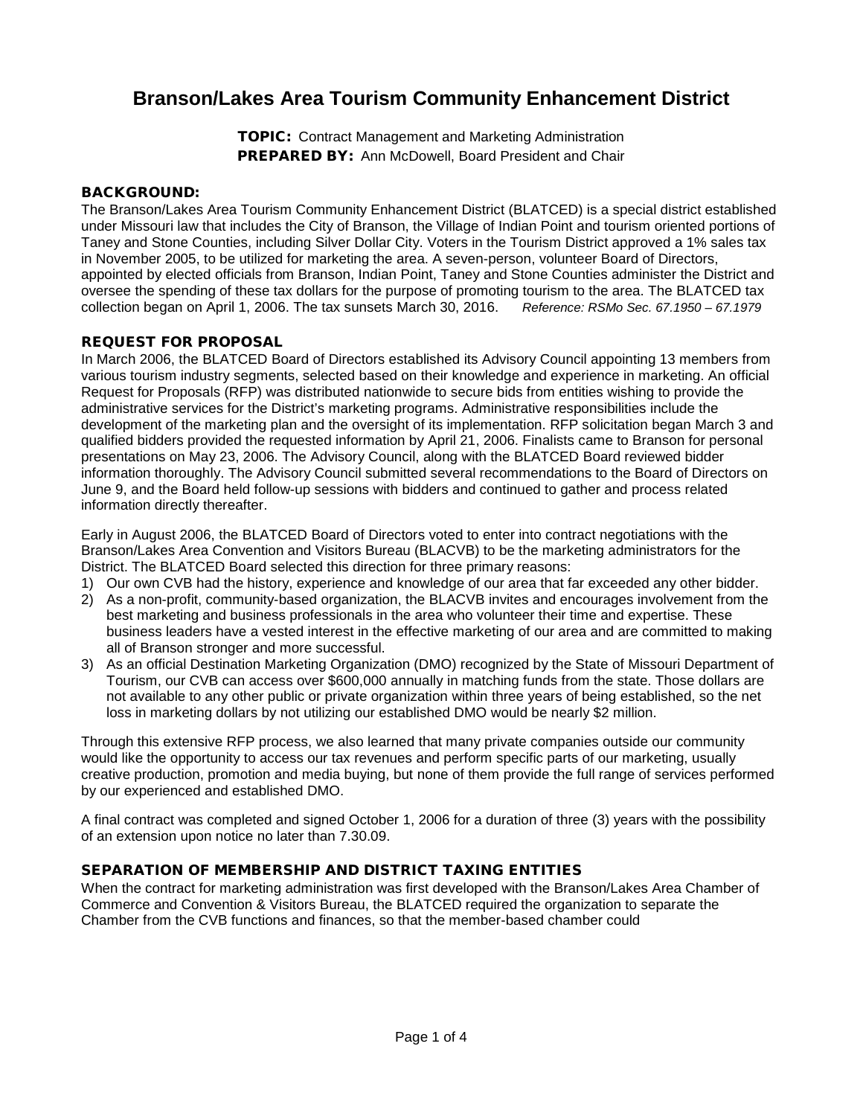# **Branson/Lakes Area Tourism Community Enhancement District**

TOPIC: Contract Management and Marketing Administration PREPARED BY: Ann McDowell, Board President and Chair

#### BACKGROUND:

The Branson/Lakes Area Tourism Community Enhancement District (BLATCED) is a special district established under Missouri law that includes the City of Branson, the Village of Indian Point and tourism oriented portions of Taney and Stone Counties, including Silver Dollar City. Voters in the Tourism District approved a 1% sales tax in November 2005, to be utilized for marketing the area. A seven-person, volunteer Board of Directors, appointed by elected officials from Branson, Indian Point, Taney and Stone Counties administer the District and oversee the spending of these tax dollars for the purpose of promoting tourism to the area. The BLATCED tax collection began on April 1, 2006. The tax sunsets March 30, 2016. *Reference: RSMo Sec. 67.1950 – 67.1979*

## REQUEST FOR PROPOSAL

In March 2006, the BLATCED Board of Directors established its Advisory Council appointing 13 members from various tourism industry segments, selected based on their knowledge and experience in marketing. An official Request for Proposals (RFP) was distributed nationwide to secure bids from entities wishing to provide the administrative services for the District's marketing programs. Administrative responsibilities include the development of the marketing plan and the oversight of its implementation. RFP solicitation began March 3 and qualified bidders provided the requested information by April 21, 2006. Finalists came to Branson for personal presentations on May 23, 2006. The Advisory Council, along with the BLATCED Board reviewed bidder information thoroughly. The Advisory Council submitted several recommendations to the Board of Directors on June 9, and the Board held follow-up sessions with bidders and continued to gather and process related information directly thereafter.

Early in August 2006, the BLATCED Board of Directors voted to enter into contract negotiations with the Branson/Lakes Area Convention and Visitors Bureau (BLACVB) to be the marketing administrators for the District. The BLATCED Board selected this direction for three primary reasons:

- 1) Our own CVB had the history, experience and knowledge of our area that far exceeded any other bidder.
- 2) As a non-profit, community-based organization, the BLACVB invites and encourages involvement from the best marketing and business professionals in the area who volunteer their time and expertise. These business leaders have a vested interest in the effective marketing of our area and are committed to making all of Branson stronger and more successful.
- 3) As an official Destination Marketing Organization (DMO) recognized by the State of Missouri Department of Tourism, our CVB can access over \$600,000 annually in matching funds from the state. Those dollars are not available to any other public or private organization within three years of being established, so the net loss in marketing dollars by not utilizing our established DMO would be nearly \$2 million.

Through this extensive RFP process, we also learned that many private companies outside our community would like the opportunity to access our tax revenues and perform specific parts of our marketing, usually creative production, promotion and media buying, but none of them provide the full range of services performed by our experienced and established DMO.

A final contract was completed and signed October 1, 2006 for a duration of three (3) years with the possibility of an extension upon notice no later than 7.30.09.

#### SEPARATION OF MEMBERSHIP AND DISTRICT TAXING ENTITIES

When the contract for marketing administration was first developed with the Branson/Lakes Area Chamber of Commerce and Convention & Visitors Bureau, the BLATCED required the organization to separate the Chamber from the CVB functions and finances, so that the member-based chamber could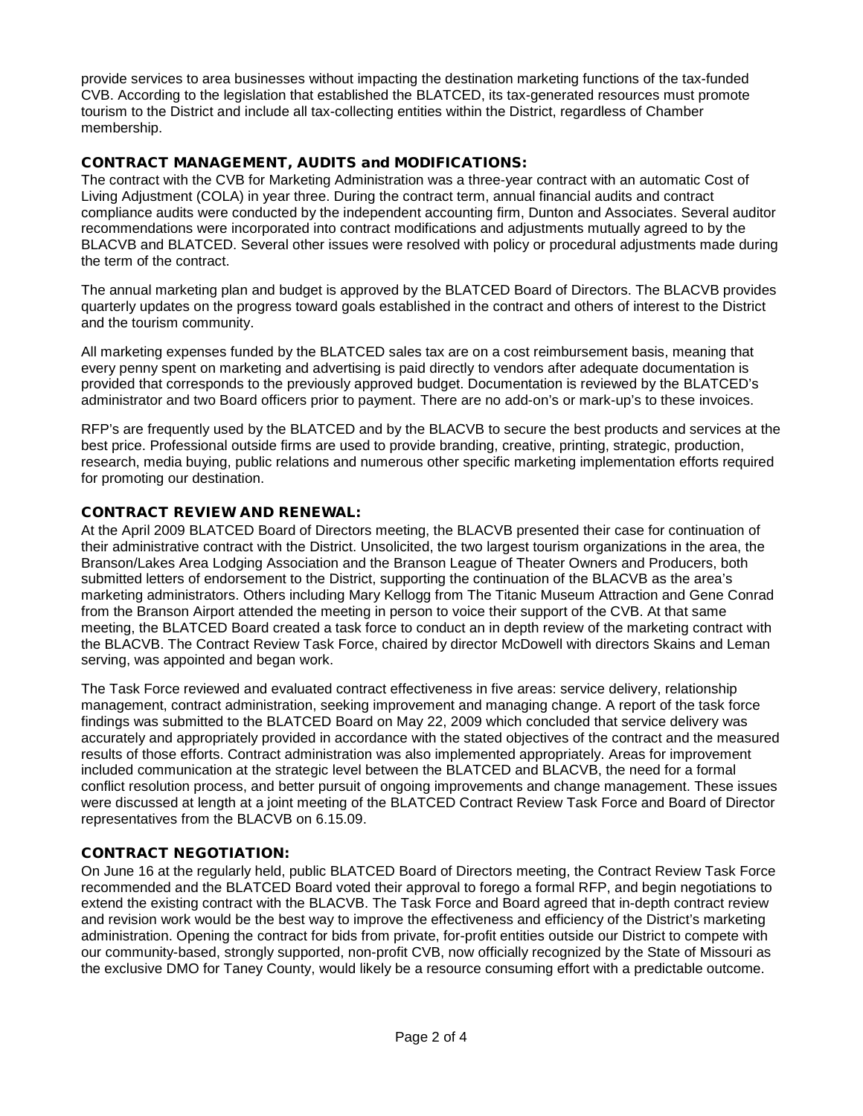provide services to area businesses without impacting the destination marketing functions of the tax-funded CVB. According to the legislation that established the BLATCED, its tax-generated resources must promote tourism to the District and include all tax-collecting entities within the District, regardless of Chamber membership.

# CONTRACT MANAGEMENT, AUDITS and MODIFICATIONS:

The contract with the CVB for Marketing Administration was a three-year contract with an automatic Cost of Living Adjustment (COLA) in year three. During the contract term, annual financial audits and contract compliance audits were conducted by the independent accounting firm, Dunton and Associates. Several auditor recommendations were incorporated into contract modifications and adjustments mutually agreed to by the BLACVB and BLATCED. Several other issues were resolved with policy or procedural adjustments made during the term of the contract.

The annual marketing plan and budget is approved by the BLATCED Board of Directors. The BLACVB provides quarterly updates on the progress toward goals established in the contract and others of interest to the District and the tourism community.

All marketing expenses funded by the BLATCED sales tax are on a cost reimbursement basis, meaning that every penny spent on marketing and advertising is paid directly to vendors after adequate documentation is provided that corresponds to the previously approved budget. Documentation is reviewed by the BLATCED's administrator and two Board officers prior to payment. There are no add-on's or mark-up's to these invoices.

RFP's are frequently used by the BLATCED and by the BLACVB to secure the best products and services at the best price. Professional outside firms are used to provide branding, creative, printing, strategic, production, research, media buying, public relations and numerous other specific marketing implementation efforts required for promoting our destination.

## CONTRACT REVIEW AND RENEWAL:

At the April 2009 BLATCED Board of Directors meeting, the BLACVB presented their case for continuation of their administrative contract with the District. Unsolicited, the two largest tourism organizations in the area, the Branson/Lakes Area Lodging Association and the Branson League of Theater Owners and Producers, both submitted letters of endorsement to the District, supporting the continuation of the BLACVB as the area's marketing administrators. Others including Mary Kellogg from The Titanic Museum Attraction and Gene Conrad from the Branson Airport attended the meeting in person to voice their support of the CVB. At that same meeting, the BLATCED Board created a task force to conduct an in depth review of the marketing contract with the BLACVB. The Contract Review Task Force, chaired by director McDowell with directors Skains and Leman serving, was appointed and began work.

The Task Force reviewed and evaluated contract effectiveness in five areas: service delivery, relationship management, contract administration, seeking improvement and managing change. A report of the task force findings was submitted to the BLATCED Board on May 22, 2009 which concluded that service delivery was accurately and appropriately provided in accordance with the stated objectives of the contract and the measured results of those efforts. Contract administration was also implemented appropriately. Areas for improvement included communication at the strategic level between the BLATCED and BLACVB, the need for a formal conflict resolution process, and better pursuit of ongoing improvements and change management. These issues were discussed at length at a joint meeting of the BLATCED Contract Review Task Force and Board of Director representatives from the BLACVB on 6.15.09.

#### CONTRACT NEGOTIATION:

On June 16 at the regularly held, public BLATCED Board of Directors meeting, the Contract Review Task Force recommended and the BLATCED Board voted their approval to forego a formal RFP, and begin negotiations to extend the existing contract with the BLACVB. The Task Force and Board agreed that in-depth contract review and revision work would be the best way to improve the effectiveness and efficiency of the District's marketing administration. Opening the contract for bids from private, for-profit entities outside our District to compete with our community-based, strongly supported, non-profit CVB, now officially recognized by the State of Missouri as the exclusive DMO for Taney County, would likely be a resource consuming effort with a predictable outcome.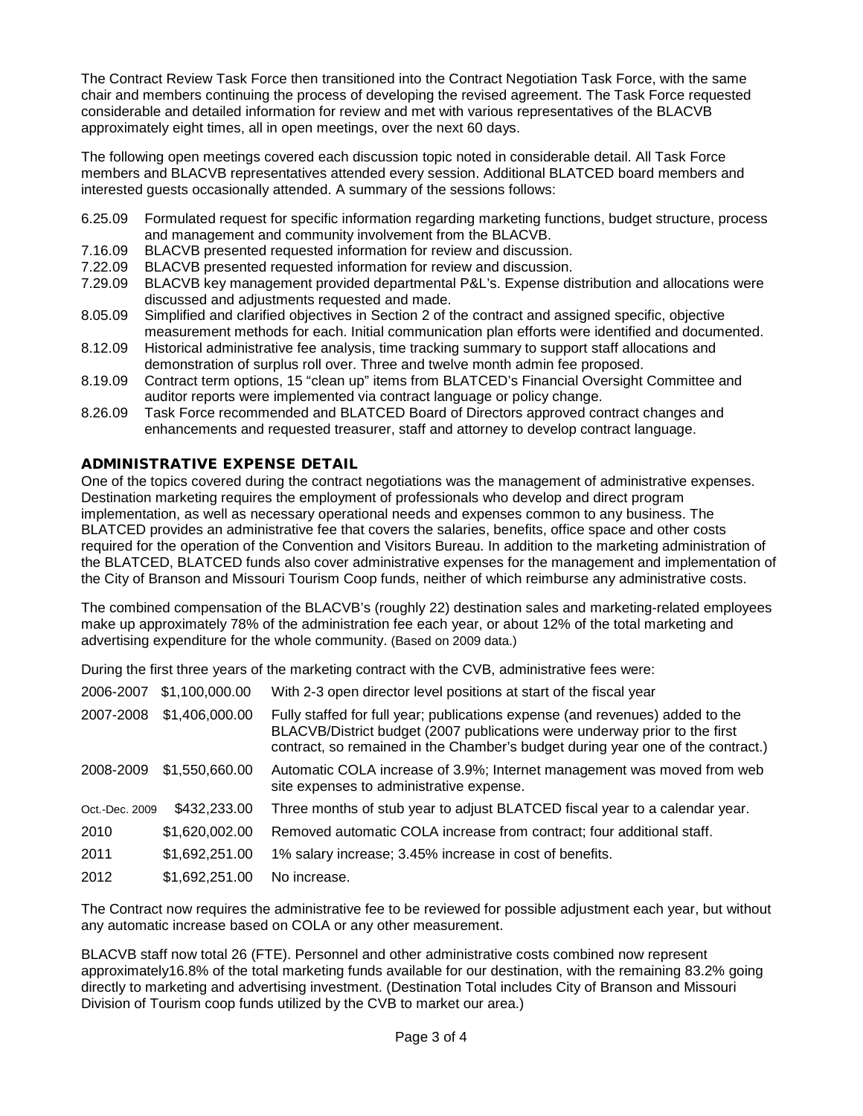The Contract Review Task Force then transitioned into the Contract Negotiation Task Force, with the same chair and members continuing the process of developing the revised agreement. The Task Force requested considerable and detailed information for review and met with various representatives of the BLACVB approximately eight times, all in open meetings, over the next 60 days.

The following open meetings covered each discussion topic noted in considerable detail. All Task Force members and BLACVB representatives attended every session. Additional BLATCED board members and interested guests occasionally attended. A summary of the sessions follows:

- 6.25.09 Formulated request for specific information regarding marketing functions, budget structure, process and management and community involvement from the BLACVB.
- 7.16.09 BLACVB presented requested information for review and discussion.<br>7.22.09 BLACVB presented requested information for review and discussion.
- BLACVB presented requested information for review and discussion.
- 7.29.09 BLACVB key management provided departmental P&L's. Expense distribution and allocations were discussed and adjustments requested and made.
- 8.05.09 Simplified and clarified objectives in Section 2 of the contract and assigned specific, objective measurement methods for each. Initial communication plan efforts were identified and documented.
- 8.12.09 Historical administrative fee analysis, time tracking summary to support staff allocations and demonstration of surplus roll over. Three and twelve month admin fee proposed.
- 8.19.09 Contract term options, 15 "clean up" items from BLATCED's Financial Oversight Committee and auditor reports were implemented via contract language or policy change.
- 8.26.09 Task Force recommended and BLATCED Board of Directors approved contract changes and enhancements and requested treasurer, staff and attorney to develop contract language.

# ADMINISTRATIVE EXPENSE DETAIL

One of the topics covered during the contract negotiations was the management of administrative expenses. Destination marketing requires the employment of professionals who develop and direct program implementation, as well as necessary operational needs and expenses common to any business. The BLATCED provides an administrative fee that covers the salaries, benefits, office space and other costs required for the operation of the Convention and Visitors Bureau. In addition to the marketing administration of the BLATCED, BLATCED funds also cover administrative expenses for the management and implementation of the City of Branson and Missouri Tourism Coop funds, neither of which reimburse any administrative costs.

The combined compensation of the BLACVB's (roughly 22) destination sales and marketing-related employees make up approximately 78% of the administration fee each year, or about 12% of the total marketing and advertising expenditure for the whole community. (Based on 2009 data.)

During the first three years of the marketing contract with the CVB, administrative fees were:

| 2006-2007      | \$1,100,000.00 | With 2-3 open director level positions at start of the fiscal year                                                                                                                                                                             |
|----------------|----------------|------------------------------------------------------------------------------------------------------------------------------------------------------------------------------------------------------------------------------------------------|
| 2007-2008      | \$1,406,000.00 | Fully staffed for full year; publications expense (and revenues) added to the<br>BLACVB/District budget (2007 publications were underway prior to the first<br>contract, so remained in the Chamber's budget during year one of the contract.) |
| 2008-2009      | \$1,550,660.00 | Automatic COLA increase of 3.9%; Internet management was moved from web<br>site expenses to administrative expense.                                                                                                                            |
| Oct.-Dec. 2009 | \$432,233.00   | Three months of stub year to adjust BLATCED fiscal year to a calendar year.                                                                                                                                                                    |
| 2010           | \$1,620,002.00 | Removed automatic COLA increase from contract; four additional staff.                                                                                                                                                                          |
| 2011           | \$1,692,251.00 | 1% salary increase; 3.45% increase in cost of benefits.                                                                                                                                                                                        |
| 2012           | \$1,692,251.00 | No increase.                                                                                                                                                                                                                                   |

The Contract now requires the administrative fee to be reviewed for possible adjustment each year, but without any automatic increase based on COLA or any other measurement.

BLACVB staff now total 26 (FTE). Personnel and other administrative costs combined now represent approximately16.8% of the total marketing funds available for our destination, with the remaining 83.2% going directly to marketing and advertising investment. (Destination Total includes City of Branson and Missouri Division of Tourism coop funds utilized by the CVB to market our area.)